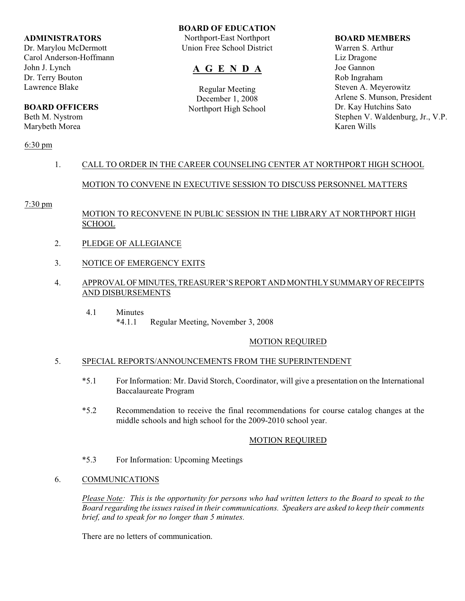#### **ADMINISTRATORS**

Dr. Marylou McDermott Carol Anderson-Hoffmann John J. Lynch Dr. Terry Bouton Lawrence Blake

# **BOARD OFFICERS**

Beth M. Nystrom Marybeth Morea

6:30 pm

# **BOARD OF EDUCATION**

Northport-East Northport Union Free School District

# **A G E N D A**

Regular Meeting December 1, 2008 Northport High School

#### **BOARD MEMBERS**

Warren S. Arthur Liz Dragone Joe Gannon Rob Ingraham Steven A. Meyerowitz Arlene S. Munson, President Dr. Kay Hutchins Sato Stephen V. Waldenburg, Jr., V.P. Karen Wills

# 1. CALL TO ORDER IN THE CAREER COUNSELING CENTER AT NORTHPORT HIGH SCHOOL

# MOTION TO CONVENE IN EXECUTIVE SESSION TO DISCUSS PERSONNEL MATTERS

## 7:30 pm

# MOTION TO RECONVENE IN PUBLIC SESSION IN THE LIBRARY AT NORTHPORT HIGH SCHOOL

- 2. PLEDGE OF ALLEGIANCE
- 3. NOTICE OF EMERGENCY EXITS
- 4. APPROVAL OF MINUTES, TREASURER'S REPORT AND MONTHLY SUMMARY OF RECEIPTS AND DISBURSEMENTS
	- 4.1 Minutes \*4.1.1 Regular Meeting, November 3, 2008

# MOTION REQUIRED

## 5. SPECIAL REPORTS/ANNOUNCEMENTS FROM THE SUPERINTENDENT

- \*5.1 For Information: Mr. David Storch, Coordinator, will give a presentation on the International Baccalaureate Program
- \*5.2 Recommendation to receive the final recommendations for course catalog changes at the middle schools and high school for the 2009-2010 school year.

## MOTION REQUIRED

- \*5.3 For Information: Upcoming Meetings
- 6. COMMUNICATIONS

*Please Note: This is the opportunity for persons who had written letters to the Board to speak to the Board regarding the issues raised in their communications. Speakers are asked to keep their comments brief, and to speak for no longer than 5 minutes.*

There are no letters of communication.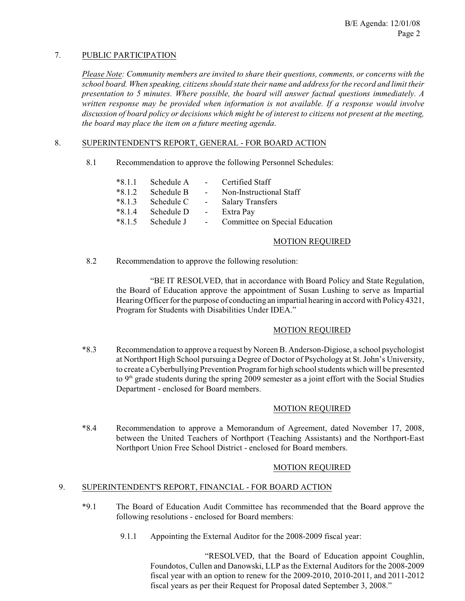# 7. PUBLIC PARTICIPATION

*Please Note: Community members are invited to share their questions, comments, or concerns with the school board. When speaking, citizens should state their name and address for the record and limit their presentation to 5 minutes. Where possible, the board will answer factual questions immediately. A written response may be provided when information is not available. If a response would involve discussion of board policy or decisions which might be of interest to citizens not present at the meeting, the board may place the item on a future meeting agenda*.

## 8. SUPERINTENDENT'S REPORT, GENERAL - FOR BOARD ACTION

8.1 Recommendation to approve the following Personnel Schedules:

| $*8.1.1$ | Schedule A   | $\sim$ $ \sim$   | Certified Staff                |
|----------|--------------|------------------|--------------------------------|
| $*8.1.2$ | Schedule B   | $\sim$ 100 $\mu$ | Non-Instructional Staff        |
| $*8.1.3$ | - Schedule C | $\sim$ $-$       | <b>Salary Transfers</b>        |
| $*8.1.4$ | Schedule D   | $\sim$ $-$       | Extra Pay                      |
| $*8.1.5$ | Schedule J   | $\sim$ $-$       | Committee on Special Education |

#### MOTION REQUIRED

8.2 Recommendation to approve the following resolution:

"BE IT RESOLVED, that in accordance with Board Policy and State Regulation, the Board of Education approve the appointment of Susan Lushing to serve as Impartial Hearing Officer for the purpose of conducting an impartial hearing in accord with Policy 4321, Program for Students with Disabilities Under IDEA."

## MOTION REQUIRED

\*8.3 Recommendation to approve a request by Noreen B. Anderson-Digiose, a school psychologist at Northport High School pursuing a Degree of Doctor of Psychology at St. John's University, to create a Cyberbullying Prevention Program for high school students which will be presented to  $9<sup>th</sup>$  grade students during the spring 2009 semester as a joint effort with the Social Studies Department - enclosed for Board members.

## MOTION REQUIRED

\*8.4 Recommendation to approve a Memorandum of Agreement, dated November 17, 2008, between the United Teachers of Northport (Teaching Assistants) and the Northport-East Northport Union Free School District - enclosed for Board members.

## MOTION REQUIRED

#### 9. SUPERINTENDENT'S REPORT, FINANCIAL - FOR BOARD ACTION

- \*9.1 The Board of Education Audit Committee has recommended that the Board approve the following resolutions - enclosed for Board members:
	- 9.1.1 Appointing the External Auditor for the 2008-2009 fiscal year:

"RESOLVED, that the Board of Education appoint Coughlin, Foundotos, Cullen and Danowski, LLP as the External Auditors for the 2008-2009 fiscal year with an option to renew for the 2009-2010, 2010-2011, and 2011-2012 fiscal years as per their Request for Proposal dated September 3, 2008."